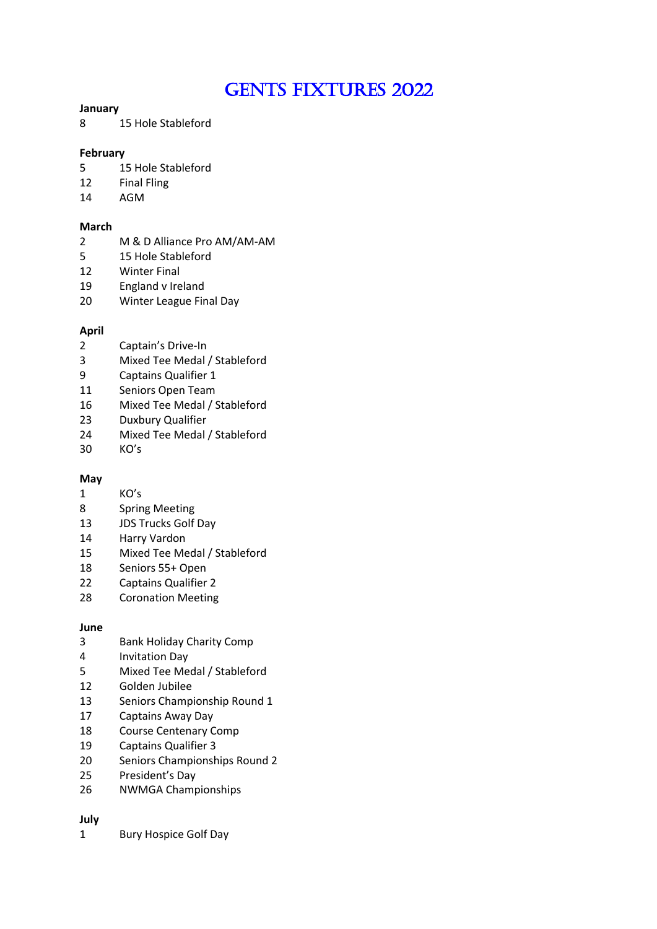# GENTS FIXTURES 2022

## **January**

15 Hole Stableford

# **February**

- 5 15 Hole Stableford
- Final Fling
- AGM

# **March**

- M & D Alliance Pro AM/AM-AM
- 15 Hole Stableford
- Winter Final
- England v Ireland
- Winter League Final Day

# **April**

- Captain's Drive-In
- Mixed Tee Medal / Stableford
- Captains Qualifier 1
- Seniors Open Team
- Mixed Tee Medal / Stableford
- Duxbury Qualifier
- Mixed Tee Medal / Stableford
- KO's

## **May**

- KO's
- Spring Meeting
- JDS Trucks Golf Day
- Harry Vardon
- Mixed Tee Medal / Stableford
- Seniors 55+ Open
- Captains Qualifier 2
- Coronation Meeting

## **June**

- Bank Holiday Charity Comp
- Invitation Day
- Mixed Tee Medal / Stableford
- Golden Jubilee
- Seniors Championship Round 1
- Captains Away Day
- Course Centenary Comp
- Captains Qualifier 3
- Seniors Championships Round 2
- President's Day
- NWMGA Championships

# **July**

Bury Hospice Golf Day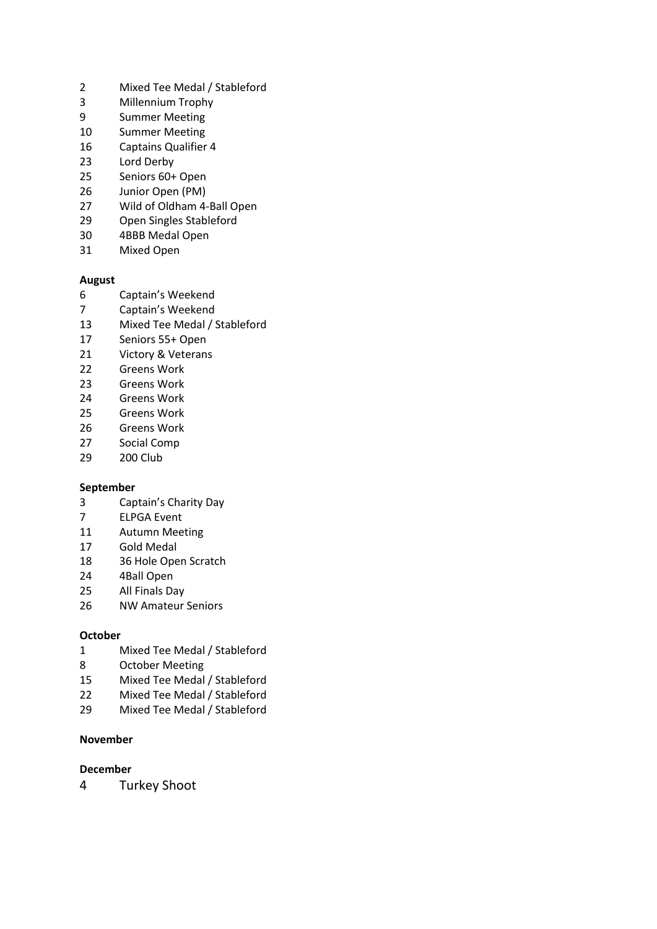- Mixed Tee Medal / Stableford
- Millennium Trophy
- Summer Meeting
- Summer Meeting
- Captains Qualifier 4
- Lord Derby
- Seniors 60+ Open
- Junior Open (PM)
- Wild of Oldham 4-Ball Open
- Open Singles Stableford
- 4BBB Medal Open
- Mixed Open

## **August**

- Captain's Weekend
- Captain's Weekend
- Mixed Tee Medal / Stableford
- Seniors 55+ Open
- Victory & Veterans
- Greens Work
- Greens Work
- Greens Work
- Greens Work
- Greens Work
- Social Comp
- 200 Club

## **September**

- Captain's Charity Day
- ELPGA Event
- Autumn Meeting
- Gold Medal
- 36 Hole Open Scratch
- 4Ball Open
- All Finals Day
- NW Amateur Seniors

## **October**

- Mixed Tee Medal / Stableford
- October Meeting
- Mixed Tee Medal / Stableford
- Mixed Tee Medal / Stableford
- Mixed Tee Medal / Stableford

# **November**

## **December**

Turkey Shoot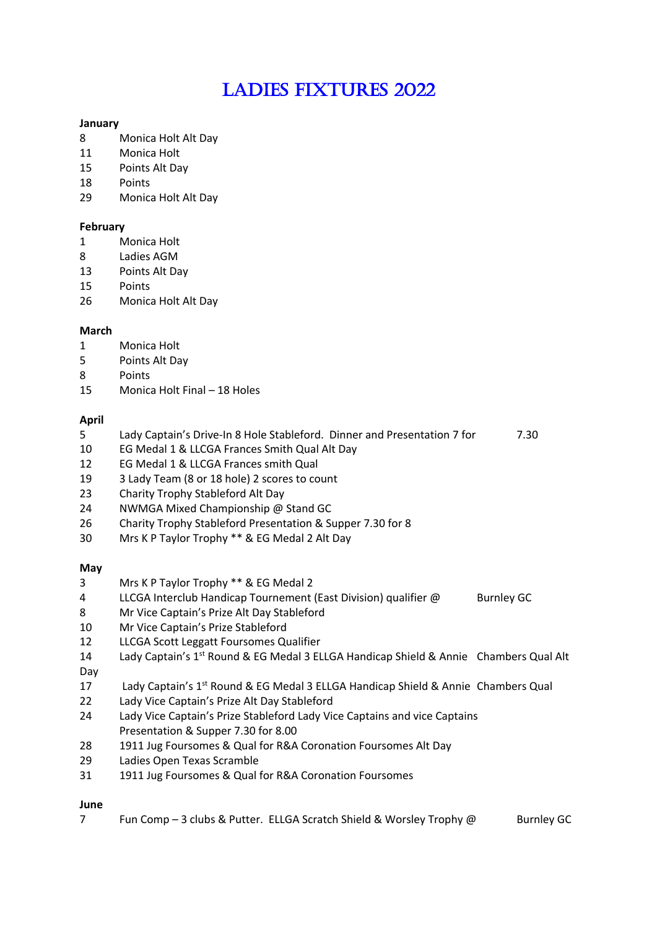# LADIES FIXTURES 2022

# **January**

- Monica Holt Alt Day
- Monica Holt
- Points Alt Day
- Points
- Monica Holt Alt Day

# **February**

- Monica Holt
- Ladies AGM
- Points Alt Day
- Points
- Monica Holt Alt Day

# **March**

- Monica Holt
- Points Alt Day
- Points
- Monica Holt Final 18 Holes

## **April**

- Lady Captain's Drive-In 8 Hole Stableford. Dinner and Presentation 7 for 7.30
- EG Medal 1 & LLCGA Frances Smith Qual Alt Day
- EG Medal 1 & LLCGA Frances smith Qual
- 3 Lady Team (8 or 18 hole) 2 scores to count
- Charity Trophy Stableford Alt Day
- NWMGA Mixed Championship @ Stand GC
- Charity Trophy Stableford Presentation & Supper 7.30 for 8
- Mrs K P Taylor Trophy \*\* & EG Medal 2 Alt Day

## **May**

- Mrs K P Taylor Trophy \*\* & EG Medal 2
- 4 LLCGA Interclub Handicap Tournement (East Division) qualifier @ Burnley GC
- Mr Vice Captain's Prize Alt Day Stableford
- Mr Vice Captain's Prize Stableford
- LLCGA Scott Leggatt Foursomes Qualifier
- 14 Lady Captain's 1<sup>st</sup> Round & EG Medal 3 ELLGA Handicap Shield & Annie Chambers Qual Alt Day
- 17 Lady Captain's 1<sup>st</sup> Round & EG Medal 3 ELLGA Handicap Shield & Annie Chambers Qual
- Lady Vice Captain's Prize Alt Day Stableford
- Lady Vice Captain's Prize Stableford Lady Vice Captains and vice Captains Presentation & Supper 7.30 for 8.00
- 1911 Jug Foursomes & Qual for R&A Coronation Foursomes Alt Day
- Ladies Open Texas Scramble
- 1911 Jug Foursomes & Qual for R&A Coronation Foursomes

# **June**

7 Fun Comp – 3 clubs & Putter. ELLGA Scratch Shield & Worsley Trophy @ Burnley GC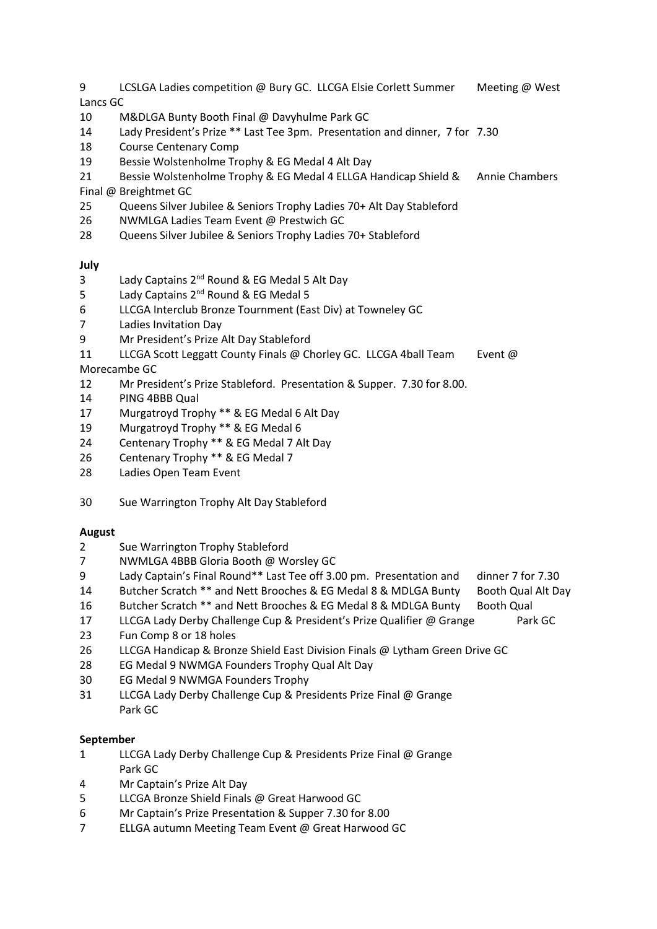- 9 LCSLGA Ladies competition @ Bury GC. LLCGA Elsie Corlett Summer Meeting @ West Lancs GC
- M&DLGA Bunty Booth Final @ Davyhulme Park GC
- Lady President's Prize \*\* Last Tee 3pm. Presentation and dinner, 7 for 7.30
- Course Centenary Comp
- Bessie Wolstenholme Trophy & EG Medal 4 Alt Day
- Bessie Wolstenholme Trophy & EG Medal 4 ELLGA Handicap Shield & Annie Chambers
- Final @ Breightmet GC
- Queens Silver Jubilee & Seniors Trophy Ladies 70+ Alt Day Stableford
- NWMLGA Ladies Team Event @ Prestwich GC
- Queens Silver Jubilee & Seniors Trophy Ladies 70+ Stableford

# **July**

- Lady Captains 2nd Round & EG Medal 5 Alt Day
- 5 Lady Captains 2<sup>nd</sup> Round & EG Medal 5
- LLCGA Interclub Bronze Tournment (East Div) at Towneley GC
- Ladies Invitation Day
- Mr President's Prize Alt Day Stableford
- 11 LLCGA Scott Leggatt County Finals @ Chorley GC. LLCGA 4ball Team Event @ Morecambe GC
- Mr President's Prize Stableford. Presentation & Supper. 7.30 for 8.00.
- PING 4BBB Qual
- Murgatroyd Trophy \*\* & EG Medal 6 Alt Day
- Murgatroyd Trophy \*\* & EG Medal 6
- Centenary Trophy \*\* & EG Medal 7 Alt Day
- Centenary Trophy \*\* & EG Medal 7
- Ladies Open Team Event
- Sue Warrington Trophy Alt Day Stableford

# **August**

- Sue Warrington Trophy Stableford
- NWMLGA 4BBB Gloria Booth @ Worsley GC
- Lady Captain's Final Round\*\* Last Tee off 3.00 pm. Presentation and dinner 7 for 7.30
- Butcher Scratch \*\* and Nett Brooches & EG Medal 8 & MDLGA Bunty Booth Qual Alt Day
- Butcher Scratch \*\* and Nett Brooches & EG Medal 8 & MDLGA Bunty Booth Qual
- 17 LLCGA Lady Derby Challenge Cup & President's Prize Qualifier @ Grange Park GC
- Fun Comp 8 or 18 holes
- LLCGA Handicap & Bronze Shield East Division Finals @ Lytham Green Drive GC
- EG Medal 9 NWMGA Founders Trophy Qual Alt Day
- EG Medal 9 NWMGA Founders Trophy
- LLCGA Lady Derby Challenge Cup & Presidents Prize Final @ Grange Park GC

# **September**

- LLCGA Lady Derby Challenge Cup & Presidents Prize Final @ Grange Park GC
- Mr Captain's Prize Alt Day
- LLCGA Bronze Shield Finals @ Great Harwood GC
- Mr Captain's Prize Presentation & Supper 7.30 for 8.00
- ELLGA autumn Meeting Team Event @ Great Harwood GC